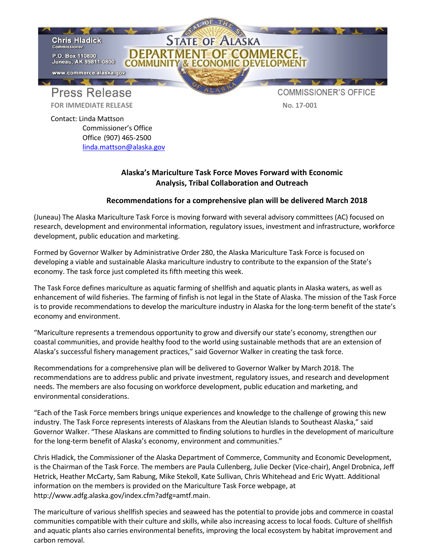

Contact: Linda Mattson Commissioner's Office Office (907) 465-2500 [linda.mattson@alaska.gov](mailto:linda.mattson@alaska.gov)

## **Alaska's Mariculture Task Force Moves Forward with Economic Analysis, Tribal Collaboration and Outreach**

## **Recommendations for a comprehensive plan will be delivered March 2018**

(Juneau) The Alaska Mariculture Task Force is moving forward with several advisory committees (AC) focused on research, development and environmental information, regulatory issues, investment and infrastructure, workforce development, public education and marketing.

Formed by Governor Walker by Administrative Order 280, the Alaska Mariculture Task Force is focused on developing a viable and sustainable Alaska mariculture industry to contribute to the expansion of the State's economy. The task force just completed its fifth meeting this week.

The Task Force defines mariculture as aquatic farming of shellfish and aquatic plants in Alaska waters, as well as enhancement of wild fisheries. The farming of finfish is not legal in the State of Alaska. The mission of the Task Force is to provide recommendations to develop the mariculture industry in Alaska for the long-term benefit of the state's economy and environment.

"Mariculture represents a tremendous opportunity to grow and diversify our state's economy, strengthen our coastal communities, and provide healthy food to the world using sustainable methods that are an extension of Alaska's successful fishery management practices," said Governor Walker in creating the task force.

Recommendations for a comprehensive plan will be delivered to Governor Walker by March 2018. The recommendations are to address public and private investment, regulatory issues, and research and development needs. The members are also focusing on workforce development, public education and marketing, and environmental considerations.

"Each of the Task Force members brings unique experiences and knowledge to the challenge of growing this new industry. The Task Force represents interests of Alaskans from the Aleutian Islands to Southeast Alaska," said Governor Walker. "These Alaskans are committed to finding solutions to hurdles in the development of mariculture for the long-term benefit of Alaska's economy, environment and communities."

Chris Hladick, the Commissioner of the Alaska Department of Commerce, Community and Economic Development, is the Chairman of the Task Force. The members are Paula Cullenberg, Julie Decker (Vice-chair), Angel Drobnica, Jeff Hetrick, Heather McCarty, Sam Rabung, Mike Stekoll, Kate Sullivan, Chris Whitehead and Eric Wyatt. Additional information on the members is provided on the Mariculture Task Force webpage, at [http://www.adfg.alaska.gov/index.cfm?adfg=amtf.main.](http://www.adfg.alaska.gov/index.cfm?adfg=amtf.main)

The mariculture of various shellfish species and seaweed has the potential to provide jobs and commerce in coastal communities compatible with their culture and skills, while also increasing access to local foods. Culture of shellfish and aquatic plants also carries environmental benefits, improving the local ecosystem by habitat improvement and carbon removal.